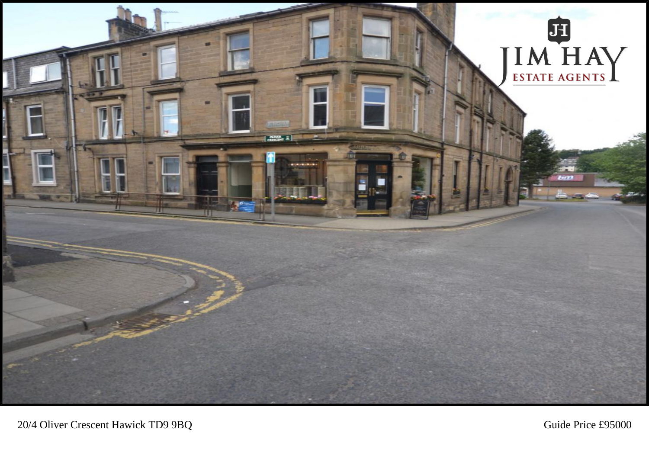

20/4 Oliver Crescent Hawick TD9 9BQ Guide Price £95000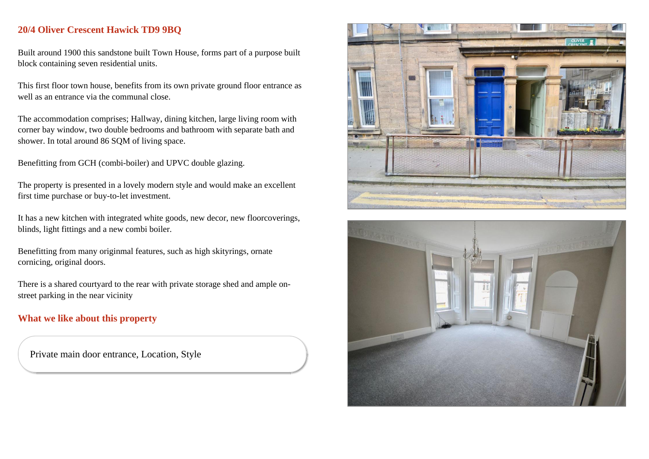## **20/4 Oliver Crescent Hawick TD9 9BQ**

Built around 1900 this sandstone built Town House, forms part of a purpose built block containing seven residential units.

This first floor town house, benefits from its own private ground floor entrance as well as an entrance via the communal close.

The accommodation comprises; Hallway, dining kitchen, large living room with corner bay window, two double bedrooms and bathroom with separate bath and shower. In total around 86 SQM of living space.

Benefitting from GCH (combi-boiler) and UPVC double glazing.

The property is presented in a lovely modern style and would make an excellent first time purchase or buy-to-let investment.

It has a new kitchen with integrated white goods, new decor, new floorcoverings, blinds, light fittings and a new combi boiler.

Benefitting from many originmal features, such as high skityrings, ornate cornicing, original doors.

There is a shared courtyard to the rear with private storage shed and ample onstreet parking in the near vicinity

## **What we like about this property**

Private main door entrance, Location, Style



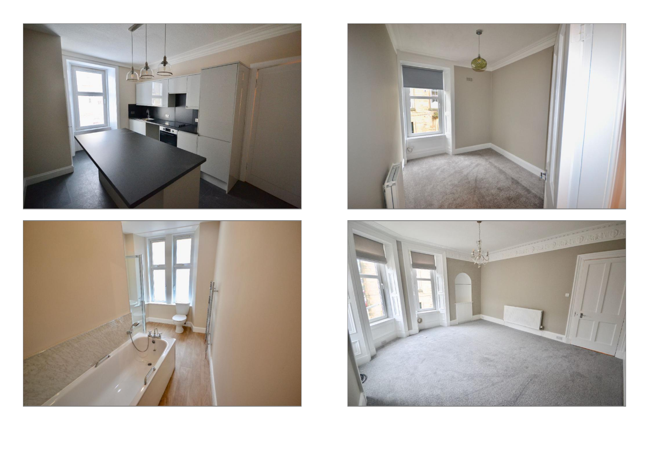